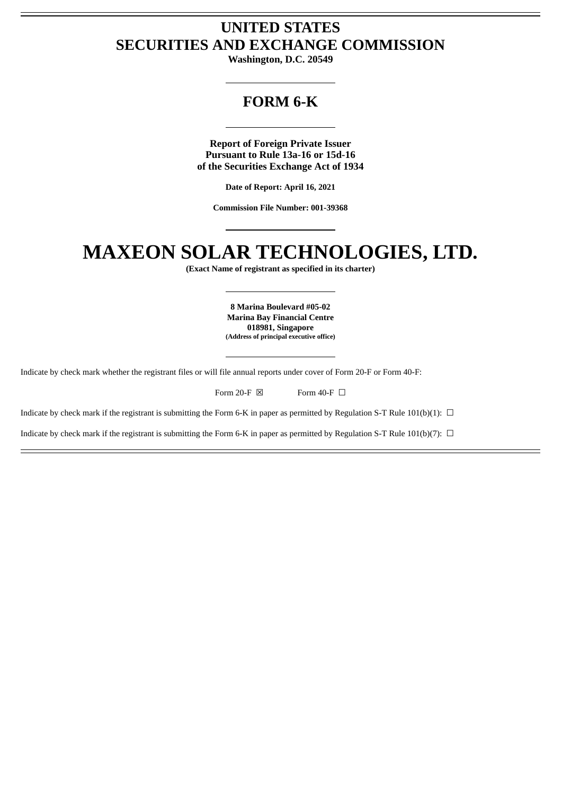# **UNITED STATES SECURITIES AND EXCHANGE COMMISSION**

**Washington, D.C. 20549**

# **FORM 6-K**

**Report of Foreign Private Issuer Pursuant to Rule 13a-16 or 15d-16 of the Securities Exchange Act of 1934**

**Date of Report: April 16, 2021**

**Commission File Number: 001-39368**

# **MAXEON SOLAR TECHNOLOGIES, LTD.**

**(Exact Name of registrant as specified in its charter)**

**8 Marina Boulevard #05-02 Marina Bay Financial Centre 018981, Singapore (Address of principal executive office)**

Indicate by check mark whether the registrant files or will file annual reports under cover of Form 20-F or Form 40-F:

| Form 20-F $\boxtimes$ | Form 40-F $\Box$ |
|-----------------------|------------------|
|-----------------------|------------------|

Indicate by check mark if the registrant is submitting the Form 6-K in paper as permitted by Regulation S-T Rule 101(b)(1):  $\Box$ 

Indicate by check mark if the registrant is submitting the Form 6-K in paper as permitted by Regulation S-T Rule 101(b)(7):  $\Box$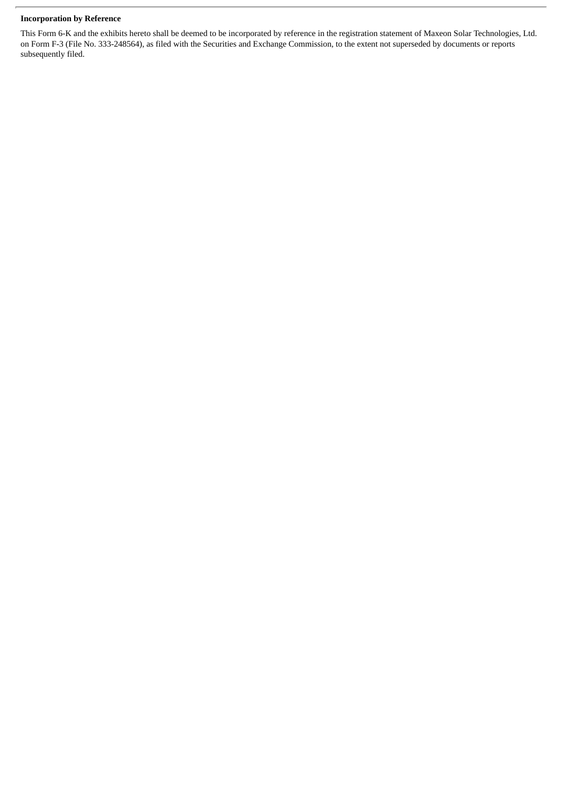#### **Incorporation by Reference**

This Form 6-K and the exhibits hereto shall be deemed to be incorporated by reference in the registration statement of Maxeon Solar Technologies, Ltd. on Form F-3 (File No. 333-248564), as filed with the Securities and Exchange Commission, to the extent not superseded by documents or reports subsequently filed.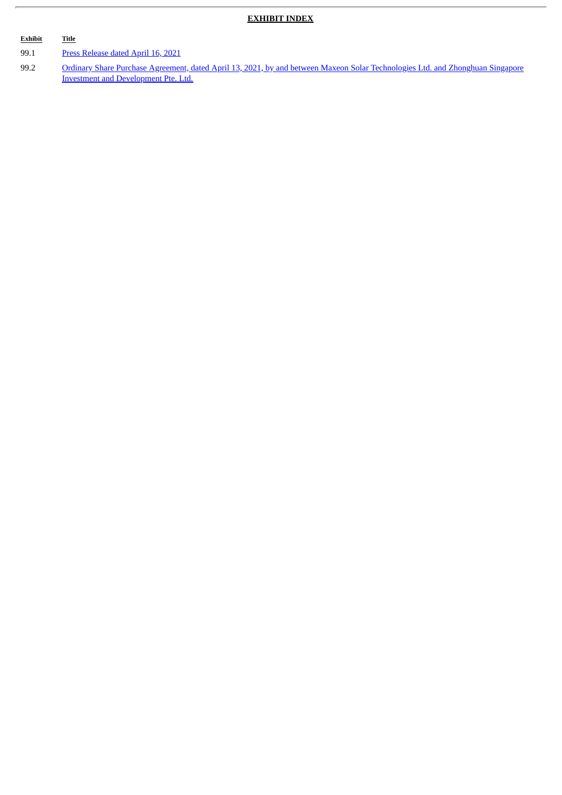#### **EXHIBIT INDEX**

# **Exhibit Title**

ł.

99.1 Press [Release](#page-4-0) dated April 16, 2021

99.2 Ordinary Share Purchase Agreement, dated April 13, 2021, by and between Maxeon Solar Technologies Ltd. and Zhonghuan Singapore Investment and [Development](#page-6-0) Pte. Ltd.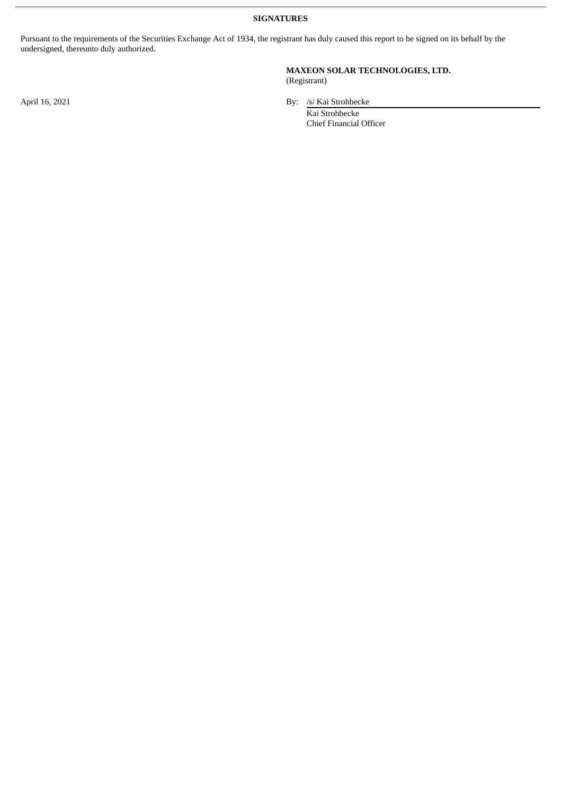**SIGNATURES**

Pursuant to the requirements of the Securities Exchange Act of 1934, the registrant has duly caused this report to be signed on its behalf by the undersigned, thereunto duly authorized.

#### **MAXEON SOLAR TECHNOLOGIES, LTD.** (Registrant)

April 16, 2021 By: /s/ Kai Strohbecke

Kai Strohbecke Chief Financial Officer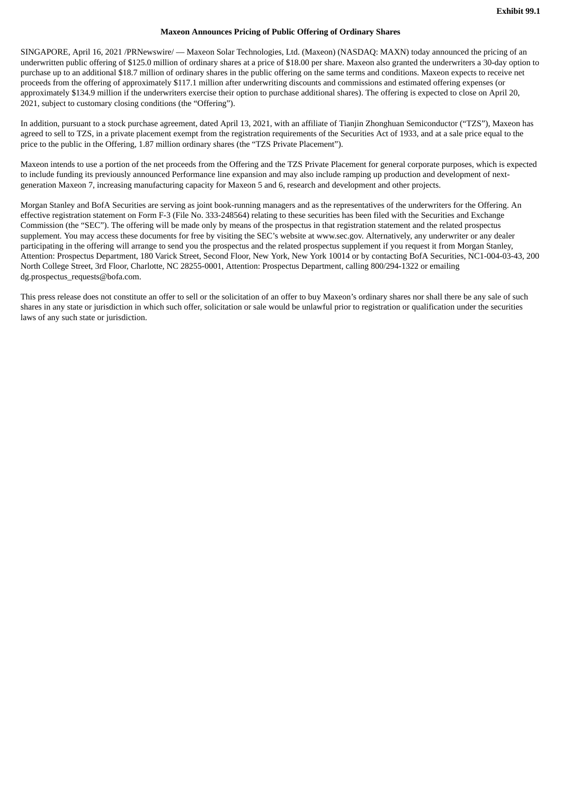#### **Maxeon Announces Pricing of Public Offering of Ordinary Shares**

<span id="page-4-0"></span>SINGAPORE, April 16, 2021 /PRNewswire/ — Maxeon Solar Technologies, Ltd. (Maxeon) (NASDAQ: MAXN) today announced the pricing of an underwritten public offering of \$125.0 million of ordinary shares at a price of \$18.00 per share. Maxeon also granted the underwriters a 30-day option to purchase up to an additional \$18.7 million of ordinary shares in the public offering on the same terms and conditions. Maxeon expects to receive net proceeds from the offering of approximately \$117.1 million after underwriting discounts and commissions and estimated offering expenses (or approximately \$134.9 million if the underwriters exercise their option to purchase additional shares). The offering is expected to close on April 20, 2021, subject to customary closing conditions (the "Offering").

In addition, pursuant to a stock purchase agreement, dated April 13, 2021, with an affiliate of Tianjin Zhonghuan Semiconductor ("TZS"), Maxeon has agreed to sell to TZS, in a private placement exempt from the registration requirements of the Securities Act of 1933, and at a sale price equal to the price to the public in the Offering, 1.87 million ordinary shares (the "TZS Private Placement").

Maxeon intends to use a portion of the net proceeds from the Offering and the TZS Private Placement for general corporate purposes, which is expected to include funding its previously announced Performance line expansion and may also include ramping up production and development of nextgeneration Maxeon 7, increasing manufacturing capacity for Maxeon 5 and 6, research and development and other projects.

Morgan Stanley and BofA Securities are serving as joint book-running managers and as the representatives of the underwriters for the Offering. An effective registration statement on Form F-3 (File No. 333-248564) relating to these securities has been filed with the Securities and Exchange Commission (the "SEC"). The offering will be made only by means of the prospectus in that registration statement and the related prospectus supplement. You may access these documents for free by visiting the SEC's website at www.sec.gov. Alternatively, any underwriter or any dealer participating in the offering will arrange to send you the prospectus and the related prospectus supplement if you request it from Morgan Stanley, Attention: Prospectus Department, 180 Varick Street, Second Floor, New York, New York 10014 or by contacting BofA Securities, NC1-004-03-43, 200 North College Street, 3rd Floor, Charlotte, NC 28255-0001, Attention: Prospectus Department, calling 800/294-1322 or emailing dg.prospectus\_requests@bofa.com.

This press release does not constitute an offer to sell or the solicitation of an offer to buy Maxeon's ordinary shares nor shall there be any sale of such shares in any state or jurisdiction in which such offer, solicitation or sale would be unlawful prior to registration or qualification under the securities laws of any such state or jurisdiction.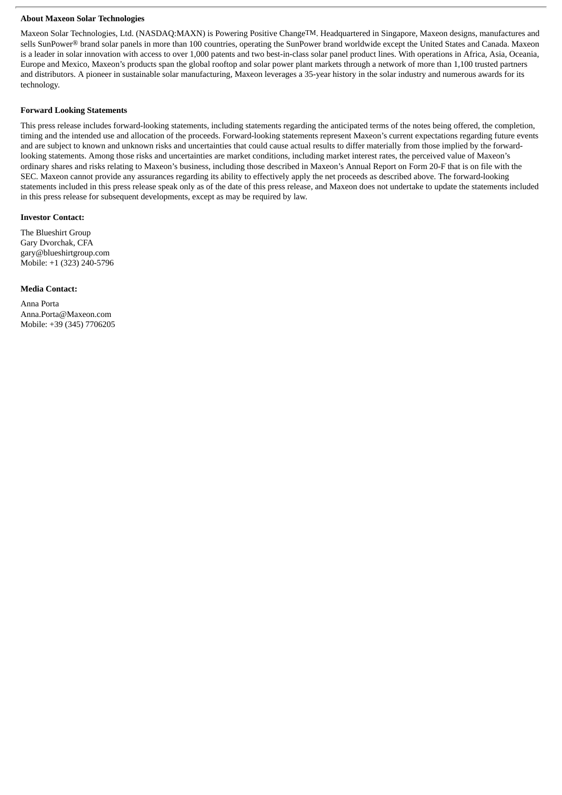#### **About Maxeon Solar Technologies**

Maxeon Solar Technologies, Ltd. (NASDAQ:MAXN) is Powering Positive ChangeTM. Headquartered in Singapore, Maxeon designs, manufactures and sells SunPower® brand solar panels in more than 100 countries, operating the SunPower brand worldwide except the United States and Canada. Maxeon is a leader in solar innovation with access to over 1,000 patents and two best-in-class solar panel product lines. With operations in Africa, Asia, Oceania, Europe and Mexico, Maxeon's products span the global rooftop and solar power plant markets through a network of more than 1,100 trusted partners and distributors. A pioneer in sustainable solar manufacturing, Maxeon leverages a 35-year history in the solar industry and numerous awards for its technology.

#### **Forward Looking Statements**

This press release includes forward-looking statements, including statements regarding the anticipated terms of the notes being offered, the completion, timing and the intended use and allocation of the proceeds. Forward-looking statements represent Maxeon's current expectations regarding future events and are subject to known and unknown risks and uncertainties that could cause actual results to differ materially from those implied by the forwardlooking statements. Among those risks and uncertainties are market conditions, including market interest rates, the perceived value of Maxeon's ordinary shares and risks relating to Maxeon's business, including those described in Maxeon's Annual Report on Form 20-F that is on file with the SEC. Maxeon cannot provide any assurances regarding its ability to effectively apply the net proceeds as described above. The forward-looking statements included in this press release speak only as of the date of this press release, and Maxeon does not undertake to update the statements included in this press release for subsequent developments, except as may be required by law.

#### **Investor Contact:**

The Blueshirt Group Gary Dvorchak, CFA gary@blueshirtgroup.com Mobile: +1 (323) 240-5796

#### **Media Contact:**

Anna Porta Anna.Porta@Maxeon.com Mobile: +39 (345) 7706205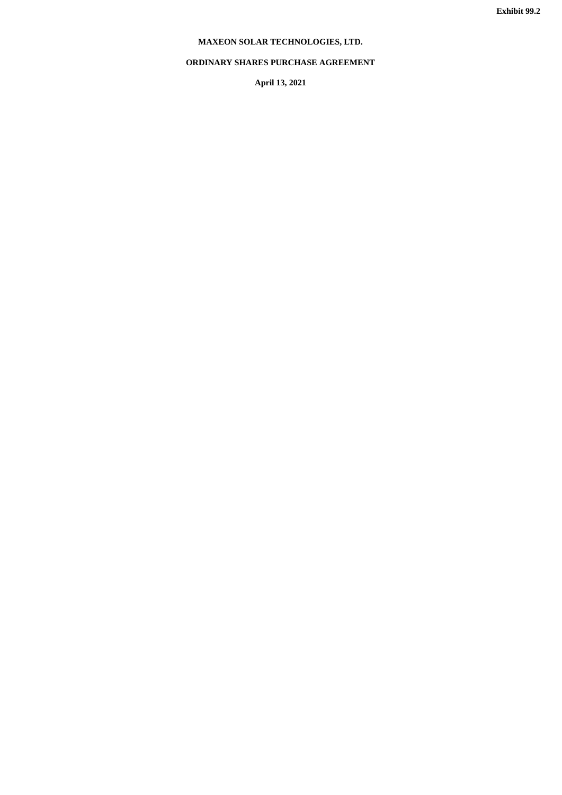# **MAXEON SOLAR TECHNOLOGIES, LTD.**

## <span id="page-6-0"></span>**ORDINARY SHARES PURCHASE AGREEMENT**

**April 13, 2021**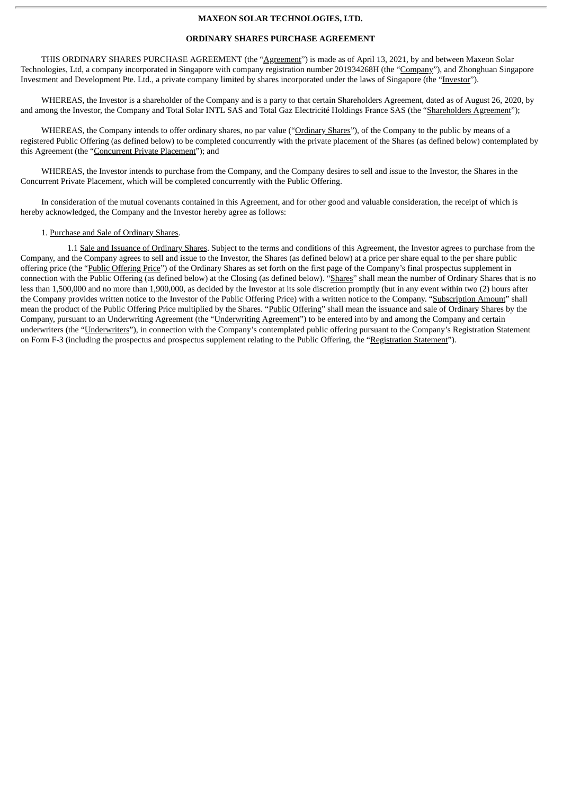#### **MAXEON SOLAR TECHNOLOGIES, LTD.**

#### **ORDINARY SHARES PURCHASE AGREEMENT**

THIS ORDINARY SHARES PURCHASE AGREEMENT (the "Agreement") is made as of April 13, 2021, by and between Maxeon Solar Technologies, Ltd, a company incorporated in Singapore with company registration number 201934268H (the "Company"), and Zhonghuan Singapore Investment and Development Pte. Ltd., a private company limited by shares incorporated under the laws of Singapore (the "Investor").

WHEREAS, the Investor is a shareholder of the Company and is a party to that certain Shareholders Agreement, dated as of August 26, 2020, by and among the Investor, the Company and Total Solar INTL SAS and Total Gaz Electricité Holdings France SAS (the "Shareholders Agreement");

WHEREAS, the Company intends to offer ordinary shares, no par value ("Ordinary Shares"), of the Company to the public by means of a registered Public Offering (as defined below) to be completed concurrently with the private placement of the Shares (as defined below) contemplated by this Agreement (the "Concurrent Private Placement"); and

WHEREAS, the Investor intends to purchase from the Company, and the Company desires to sell and issue to the Investor, the Shares in the Concurrent Private Placement, which will be completed concurrently with the Public Offering.

In consideration of the mutual covenants contained in this Agreement, and for other good and valuable consideration, the receipt of which is hereby acknowledged, the Company and the Investor hereby agree as follows:

#### 1. Purchase and Sale of Ordinary Shares.

1.1 Sale and Issuance of Ordinary Shares. Subject to the terms and conditions of this Agreement, the Investor agrees to purchase from the Company, and the Company agrees to sell and issue to the Investor, the Shares (as defined below) at a price per share equal to the per share public offering price (the "Public Offering Price") of the Ordinary Shares as set forth on the first page of the Company's final prospectus supplement in connection with the Public Offering (as defined below) at the Closing (as defined below). "Shares" shall mean the number of Ordinary Shares that is no less than 1,500,000 and no more than 1,900,000, as decided by the Investor at its sole discretion promptly (but in any event within two (2) hours after the Company provides written notice to the Investor of the Public Offering Price) with a written notice to the Company. "Subscription Amount" shall mean the product of the Public Offering Price multiplied by the Shares. "Public Offering" shall mean the issuance and sale of Ordinary Shares by the Company, pursuant to an Underwriting Agreement (the "Underwriting Agreement") to be entered into by and among the Company and certain underwriters (the "Underwriters"), in connection with the Company's contemplated public offering pursuant to the Company's Registration Statement on Form F-3 (including the prospectus and prospectus supplement relating to the Public Offering, the "Registration Statement").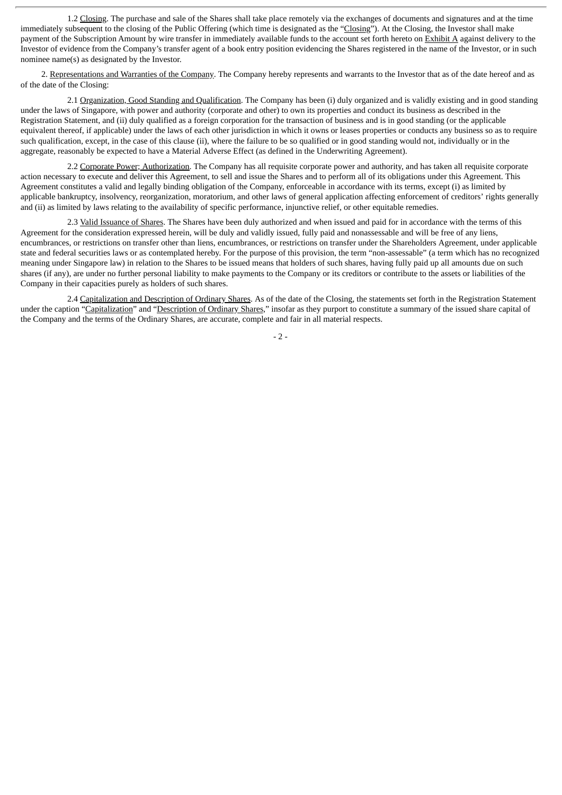1.2 Closing. The purchase and sale of the Shares shall take place remotely via the exchanges of documents and signatures and at the time immediately subsequent to the closing of the Public Offering (which time is designated as the "Closing"). At the Closing, the Investor shall make payment of the Subscription Amount by wire transfer in immediately available funds to the account set forth hereto on **Exhibit A** against delivery to the Investor of evidence from the Company's transfer agent of a book entry position evidencing the Shares registered in the name of the Investor, or in such nominee name(s) as designated by the Investor.

2. Representations and Warranties of the Company. The Company hereby represents and warrants to the Investor that as of the date hereof and as of the date of the Closing:

2.1 Organization, Good Standing and Qualification. The Company has been (i) duly organized and is validly existing and in good standing under the laws of Singapore, with power and authority (corporate and other) to own its properties and conduct its business as described in the Registration Statement, and (ii) duly qualified as a foreign corporation for the transaction of business and is in good standing (or the applicable equivalent thereof, if applicable) under the laws of each other jurisdiction in which it owns or leases properties or conducts any business so as to require such qualification, except, in the case of this clause (ii), where the failure to be so qualified or in good standing would not, individually or in the aggregate, reasonably be expected to have a Material Adverse Effect (as defined in the Underwriting Agreement).

2.2 Corporate Power; Authorization. The Company has all requisite corporate power and authority, and has taken all requisite corporate action necessary to execute and deliver this Agreement, to sell and issue the Shares and to perform all of its obligations under this Agreement. This Agreement constitutes a valid and legally binding obligation of the Company, enforceable in accordance with its terms, except (i) as limited by applicable bankruptcy, insolvency, reorganization, moratorium, and other laws of general application affecting enforcement of creditors' rights generally and (ii) as limited by laws relating to the availability of specific performance, injunctive relief, or other equitable remedies.

2.3 Valid Issuance of Shares. The Shares have been duly authorized and when issued and paid for in accordance with the terms of this Agreement for the consideration expressed herein, will be duly and validly issued, fully paid and nonassessable and will be free of any liens, encumbrances, or restrictions on transfer other than liens, encumbrances, or restrictions on transfer under the Shareholders Agreement, under applicable state and federal securities laws or as contemplated hereby. For the purpose of this provision, the term "non-assessable" (a term which has no recognized meaning under Singapore law) in relation to the Shares to be issued means that holders of such shares, having fully paid up all amounts due on such shares (if any), are under no further personal liability to make payments to the Company or its creditors or contribute to the assets or liabilities of the Company in their capacities purely as holders of such shares.

2.4 Capitalization and Description of Ordinary Shares. As of the date of the Closing, the statements set forth in the Registration Statement under the caption "Capitalization" and "Description of Ordinary Shares," insofar as they purport to constitute a summary of the issued share capital of the Company and the terms of the Ordinary Shares, are accurate, complete and fair in all material respects.

 $-2-$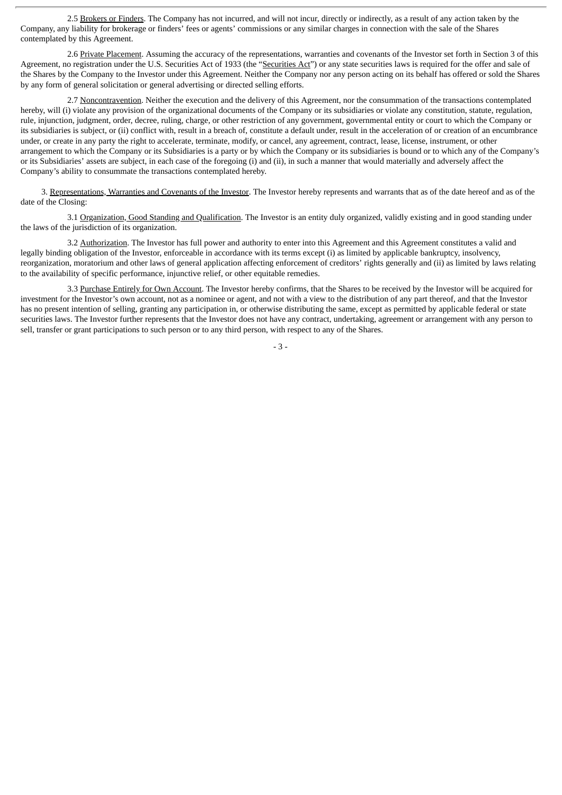2.5 Brokers or Finders. The Company has not incurred, and will not incur, directly or indirectly, as a result of any action taken by the Company, any liability for brokerage or finders' fees or agents' commissions or any similar charges in connection with the sale of the Shares contemplated by this Agreement.

2.6 Private Placement. Assuming the accuracy of the representations, warranties and covenants of the Investor set forth in Section 3 of this Agreement, no registration under the U.S. Securities Act of 1933 (the "Securities Act") or any state securities laws is required for the offer and sale of the Shares by the Company to the Investor under this Agreement. Neither the Company nor any person acting on its behalf has offered or sold the Shares by any form of general solicitation or general advertising or directed selling efforts.

2.7 Noncontravention. Neither the execution and the delivery of this Agreement, nor the consummation of the transactions contemplated hereby, will (i) violate any provision of the organizational documents of the Company or its subsidiaries or violate any constitution, statute, regulation, rule, injunction, judgment, order, decree, ruling, charge, or other restriction of any government, governmental entity or court to which the Company or its subsidiaries is subject, or (ii) conflict with, result in a breach of, constitute a default under, result in the acceleration of or creation of an encumbrance under, or create in any party the right to accelerate, terminate, modify, or cancel, any agreement, contract, lease, license, instrument, or other arrangement to which the Company or its Subsidiaries is a party or by which the Company or its subsidiaries is bound or to which any of the Company's or its Subsidiaries' assets are subject, in each case of the foregoing (i) and (ii), in such a manner that would materially and adversely affect the Company's ability to consummate the transactions contemplated hereby.

3. Representations, Warranties and Covenants of the Investor. The Investor hereby represents and warrants that as of the date hereof and as of the date of the Closing:

3.1 Organization, Good Standing and Qualification. The Investor is an entity duly organized, validly existing and in good standing under the laws of the jurisdiction of its organization.

3.2 Authorization. The Investor has full power and authority to enter into this Agreement and this Agreement constitutes a valid and legally binding obligation of the Investor, enforceable in accordance with its terms except (i) as limited by applicable bankruptcy, insolvency, reorganization, moratorium and other laws of general application affecting enforcement of creditors' rights generally and (ii) as limited by laws relating to the availability of specific performance, injunctive relief, or other equitable remedies.

3.3 Purchase Entirely for Own Account. The Investor hereby confirms, that the Shares to be received by the Investor will be acquired for investment for the Investor's own account, not as a nominee or agent, and not with a view to the distribution of any part thereof, and that the Investor has no present intention of selling, granting any participation in, or otherwise distributing the same, except as permitted by applicable federal or state securities laws. The Investor further represents that the Investor does not have any contract, undertaking, agreement or arrangement with any person to sell, transfer or grant participations to such person or to any third person, with respect to any of the Shares.

- 3 -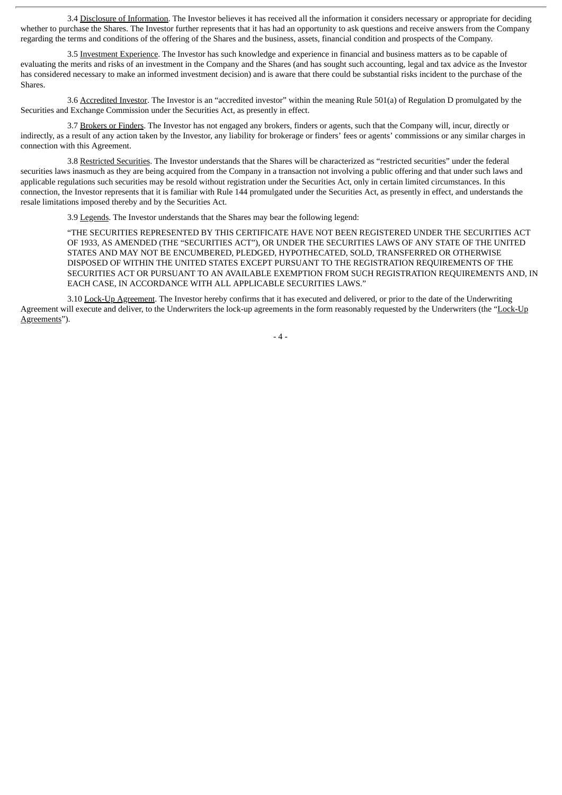3.4 Disclosure of Information. The Investor believes it has received all the information it considers necessary or appropriate for deciding whether to purchase the Shares. The Investor further represents that it has had an opportunity to ask questions and receive answers from the Company regarding the terms and conditions of the offering of the Shares and the business, assets, financial condition and prospects of the Company.

3.5 Investment Experience. The Investor has such knowledge and experience in financial and business matters as to be capable of evaluating the merits and risks of an investment in the Company and the Shares (and has sought such accounting, legal and tax advice as the Investor has considered necessary to make an informed investment decision) and is aware that there could be substantial risks incident to the purchase of the Shares.

3.6 Accredited Investor. The Investor is an "accredited investor" within the meaning Rule 501(a) of Regulation D promulgated by the Securities and Exchange Commission under the Securities Act, as presently in effect.

3.7 Brokers or Finders. The Investor has not engaged any brokers, finders or agents, such that the Company will, incur, directly or indirectly, as a result of any action taken by the Investor, any liability for brokerage or finders' fees or agents' commissions or any similar charges in connection with this Agreement.

3.8 Restricted Securities. The Investor understands that the Shares will be characterized as "restricted securities" under the federal securities laws inasmuch as they are being acquired from the Company in a transaction not involving a public offering and that under such laws and applicable regulations such securities may be resold without registration under the Securities Act, only in certain limited circumstances. In this connection, the Investor represents that it is familiar with Rule 144 promulgated under the Securities Act, as presently in effect, and understands the resale limitations imposed thereby and by the Securities Act.

3.9 Legends. The Investor understands that the Shares may bear the following legend:

"THE SECURITIES REPRESENTED BY THIS CERTIFICATE HAVE NOT BEEN REGISTERED UNDER THE SECURITIES ACT OF 1933, AS AMENDED (THE "SECURITIES ACT"), OR UNDER THE SECURITIES LAWS OF ANY STATE OF THE UNITED STATES AND MAY NOT BE ENCUMBERED, PLEDGED, HYPOTHECATED, SOLD, TRANSFERRED OR OTHERWISE DISPOSED OF WITHIN THE UNITED STATES EXCEPT PURSUANT TO THE REGISTRATION REQUIREMENTS OF THE SECURITIES ACT OR PURSUANT TO AN AVAILABLE EXEMPTION FROM SUCH REGISTRATION REQUIREMENTS AND, IN EACH CASE, IN ACCORDANCE WITH ALL APPLICABLE SECURITIES LAWS."

3.10 Lock-Up Agreement. The Investor hereby confirms that it has executed and delivered, or prior to the date of the Underwriting Agreement will execute and deliver, to the Underwriters the lock-up agreements in the form reasonably requested by the Underwriters (the "Lock-Up Agreements").

- 4 -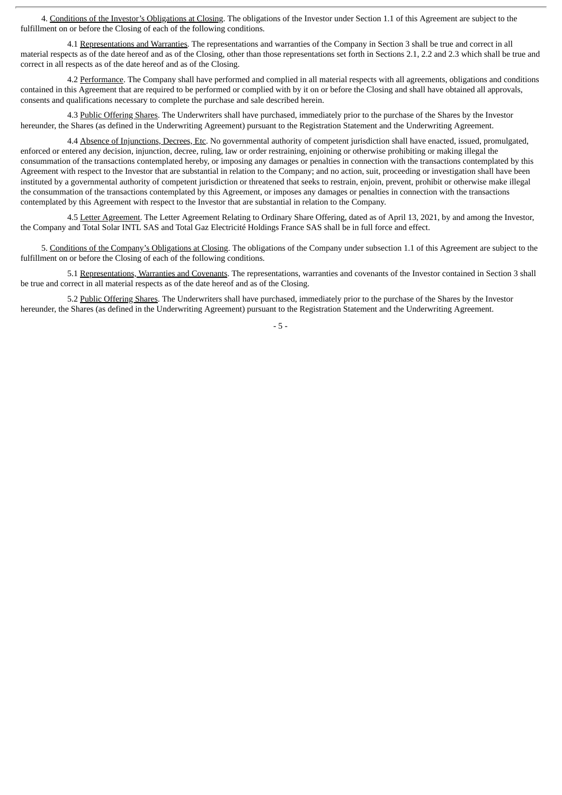4. Conditions of the Investor's Obligations at Closing. The obligations of the Investor under Section 1.1 of this Agreement are subject to the fulfillment on or before the Closing of each of the following conditions.

4.1 Representations and Warranties. The representations and warranties of the Company in Section 3 shall be true and correct in all material respects as of the date hereof and as of the Closing, other than those representations set forth in Sections 2.1, 2.2 and 2.3 which shall be true and correct in all respects as of the date hereof and as of the Closing.

4.2 Performance. The Company shall have performed and complied in all material respects with all agreements, obligations and conditions contained in this Agreement that are required to be performed or complied with by it on or before the Closing and shall have obtained all approvals, consents and qualifications necessary to complete the purchase and sale described herein.

4.3 Public Offering Shares. The Underwriters shall have purchased, immediately prior to the purchase of the Shares by the Investor hereunder, the Shares (as defined in the Underwriting Agreement) pursuant to the Registration Statement and the Underwriting Agreement.

4.4 Absence of Injunctions, Decrees, Etc. No governmental authority of competent jurisdiction shall have enacted, issued, promulgated, enforced or entered any decision, injunction, decree, ruling, law or order restraining, enjoining or otherwise prohibiting or making illegal the consummation of the transactions contemplated hereby, or imposing any damages or penalties in connection with the transactions contemplated by this Agreement with respect to the Investor that are substantial in relation to the Company; and no action, suit, proceeding or investigation shall have been instituted by a governmental authority of competent jurisdiction or threatened that seeks to restrain, enjoin, prevent, prohibit or otherwise make illegal the consummation of the transactions contemplated by this Agreement, or imposes any damages or penalties in connection with the transactions contemplated by this Agreement with respect to the Investor that are substantial in relation to the Company.

4.5 Letter Agreement. The Letter Agreement Relating to Ordinary Share Offering, dated as of April 13, 2021, by and among the Investor, the Company and Total Solar INTL SAS and Total Gaz Electricité Holdings France SAS shall be in full force and effect.

5. Conditions of the Company's Obligations at Closing. The obligations of the Company under subsection 1.1 of this Agreement are subject to the fulfillment on or before the Closing of each of the following conditions.

5.1 Representations, Warranties and Covenants. The representations, warranties and covenants of the Investor contained in Section 3 shall be true and correct in all material respects as of the date hereof and as of the Closing.

5.2 Public Offering Shares. The Underwriters shall have purchased, immediately prior to the purchase of the Shares by the Investor hereunder, the Shares (as defined in the Underwriting Agreement) pursuant to the Registration Statement and the Underwriting Agreement.

- 5 -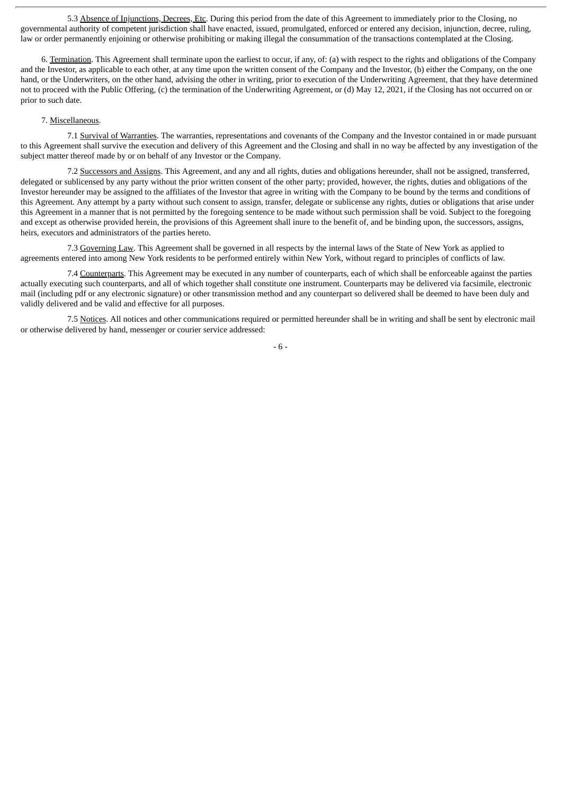5.3 Absence of Injunctions, Decrees, Etc. During this period from the date of this Agreement to immediately prior to the Closing, no governmental authority of competent jurisdiction shall have enacted, issued, promulgated, enforced or entered any decision, injunction, decree, ruling, law or order permanently enjoining or otherwise prohibiting or making illegal the consummation of the transactions contemplated at the Closing.

6. Termination. This Agreement shall terminate upon the earliest to occur, if any, of: (a) with respect to the rights and obligations of the Company and the Investor, as applicable to each other, at any time upon the written consent of the Company and the Investor, (b) either the Company, on the one hand, or the Underwriters, on the other hand, advising the other in writing, prior to execution of the Underwriting Agreement, that they have determined not to proceed with the Public Offering, (c) the termination of the Underwriting Agreement, or (d) May 12, 2021, if the Closing has not occurred on or prior to such date.

#### 7. Miscellaneous.

7.1 Survival of Warranties. The warranties, representations and covenants of the Company and the Investor contained in or made pursuant to this Agreement shall survive the execution and delivery of this Agreement and the Closing and shall in no way be affected by any investigation of the subject matter thereof made by or on behalf of any Investor or the Company.

7.2 Successors and Assigns. This Agreement, and any and all rights, duties and obligations hereunder, shall not be assigned, transferred, delegated or sublicensed by any party without the prior written consent of the other party; provided, however, the rights, duties and obligations of the Investor hereunder may be assigned to the affiliates of the Investor that agree in writing with the Company to be bound by the terms and conditions of this Agreement. Any attempt by a party without such consent to assign, transfer, delegate or sublicense any rights, duties or obligations that arise under this Agreement in a manner that is not permitted by the foregoing sentence to be made without such permission shall be void. Subject to the foregoing and except as otherwise provided herein, the provisions of this Agreement shall inure to the benefit of, and be binding upon, the successors, assigns, heirs, executors and administrators of the parties hereto.

7.3 Governing Law. This Agreement shall be governed in all respects by the internal laws of the State of New York as applied to agreements entered into among New York residents to be performed entirely within New York, without regard to principles of conflicts of law.

7.4 Counterparts. This Agreement may be executed in any number of counterparts, each of which shall be enforceable against the parties actually executing such counterparts, and all of which together shall constitute one instrument. Counterparts may be delivered via facsimile, electronic mail (including pdf or any electronic signature) or other transmission method and any counterpart so delivered shall be deemed to have been duly and validly delivered and be valid and effective for all purposes.

7.5 Notices. All notices and other communications required or permitted hereunder shall be in writing and shall be sent by electronic mail or otherwise delivered by hand, messenger or courier service addressed:

- 6 -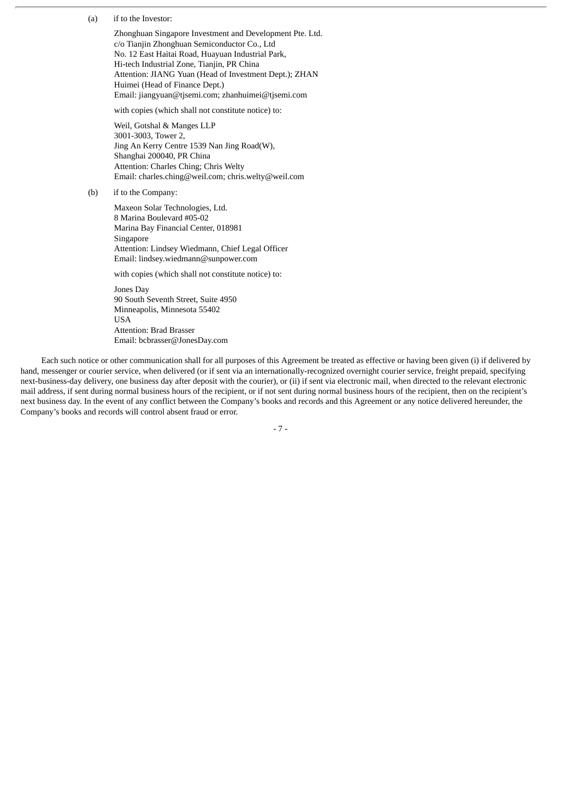(a) if to the Investor:

Zhonghuan Singapore Investment and Development Pte. Ltd. c/o Tianjin Zhonghuan Semiconductor Co., Ltd No. 12 East Haitai Road, Huayuan Industrial Park, Hi-tech Industrial Zone, Tianjin, PR China Attention: JIANG Yuan (Head of Investment Dept.); ZHAN Huimei (Head of Finance Dept.) Email: jiangyuan@tjsemi.com; zhanhuimei@tjsemi.com

with copies (which shall not constitute notice) to:

Weil, Gotshal & Manges LLP 3001-3003, Tower 2, Jing An Kerry Centre 1539 Nan Jing Road(W), Shanghai 200040, PR China Attention: Charles Ching; Chris Welty Email: charles.ching@weil.com; chris.welty@weil.com

(b) if to the Company:

Maxeon Solar Technologies, Ltd. 8 Marina Boulevard #05-02 Marina Bay Financial Center, 018981 Singapore Attention: Lindsey Wiedmann, Chief Legal Officer Email: lindsey.wiedmann@sunpower.com

with copies (which shall not constitute notice) to:

Jones Day 90 South Seventh Street, Suite 4950 Minneapolis, Minnesota 55402 USA Attention: Brad Brasser Email: bcbrasser@JonesDay.com

Each such notice or other communication shall for all purposes of this Agreement be treated as effective or having been given (i) if delivered by hand, messenger or courier service, when delivered (or if sent via an internationally-recognized overnight courier service, freight prepaid, specifying next-business-day delivery, one business day after deposit with the courier), or (ii) if sent via electronic mail, when directed to the relevant electronic mail address, if sent during normal business hours of the recipient, or if not sent during normal business hours of the recipient, then on the recipient's next business day. In the event of any conflict between the Company's books and records and this Agreement or any notice delivered hereunder, the Company's books and records will control absent fraud or error.

- 7 -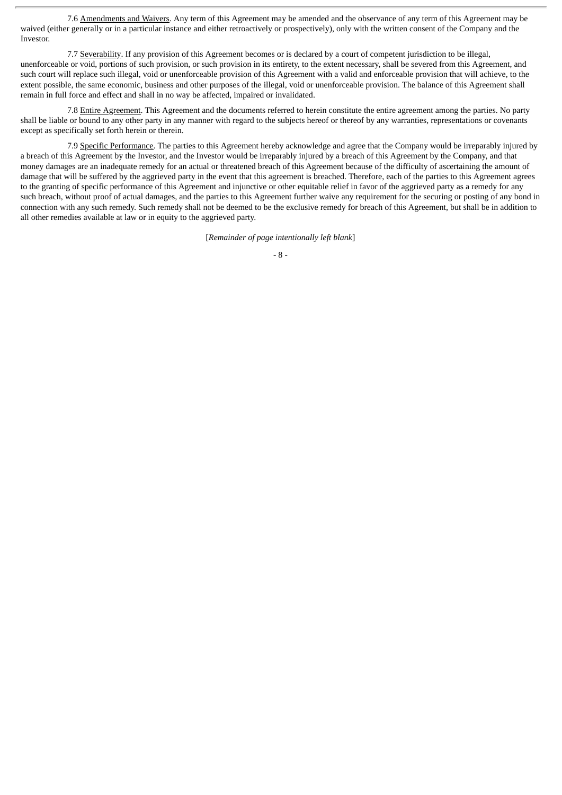7.6 Amendments and Waivers. Any term of this Agreement may be amended and the observance of any term of this Agreement may be waived (either generally or in a particular instance and either retroactively or prospectively), only with the written consent of the Company and the Investor.

7.7 Severability. If any provision of this Agreement becomes or is declared by a court of competent jurisdiction to be illegal, unenforceable or void, portions of such provision, or such provision in its entirety, to the extent necessary, shall be severed from this Agreement, and such court will replace such illegal, void or unenforceable provision of this Agreement with a valid and enforceable provision that will achieve, to the extent possible, the same economic, business and other purposes of the illegal, void or unenforceable provision. The balance of this Agreement shall remain in full force and effect and shall in no way be affected, impaired or invalidated.

7.8 Entire Agreement. This Agreement and the documents referred to herein constitute the entire agreement among the parties. No party shall be liable or bound to any other party in any manner with regard to the subjects hereof or thereof by any warranties, representations or covenants except as specifically set forth herein or therein.

7.9 Specific Performance. The parties to this Agreement hereby acknowledge and agree that the Company would be irreparably injured by a breach of this Agreement by the Investor, and the Investor would be irreparably injured by a breach of this Agreement by the Company, and that money damages are an inadequate remedy for an actual or threatened breach of this Agreement because of the difficulty of ascertaining the amount of damage that will be suffered by the aggrieved party in the event that this agreement is breached. Therefore, each of the parties to this Agreement agrees to the granting of specific performance of this Agreement and injunctive or other equitable relief in favor of the aggrieved party as a remedy for any such breach, without proof of actual damages, and the parties to this Agreement further waive any requirement for the securing or posting of any bond in connection with any such remedy. Such remedy shall not be deemed to be the exclusive remedy for breach of this Agreement, but shall be in addition to all other remedies available at law or in equity to the aggrieved party.

[*Remainder of page intentionally left blank*]

<sup>-</sup> 8 -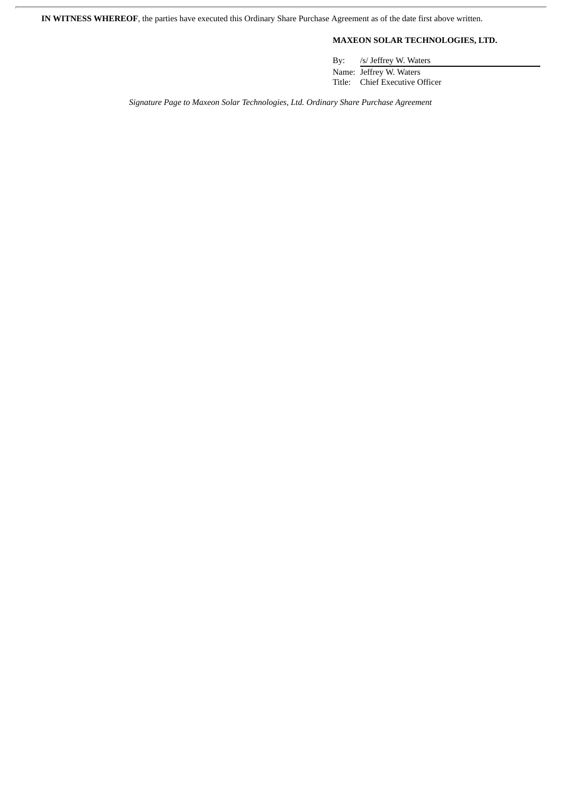**IN WITNESS WHEREOF**, the parties have executed this Ordinary Share Purchase Agreement as of the date first above written.

# **MAXEON SOLAR TECHNOLOGIES, LTD.**

By: /s/ Jeffrey W. Waters

Name: Jeffrey W. Waters Title: Chief Executive Officer

*Signature Page to Maxeon Solar Technologies, Ltd. Ordinary Share Purchase Agreement*